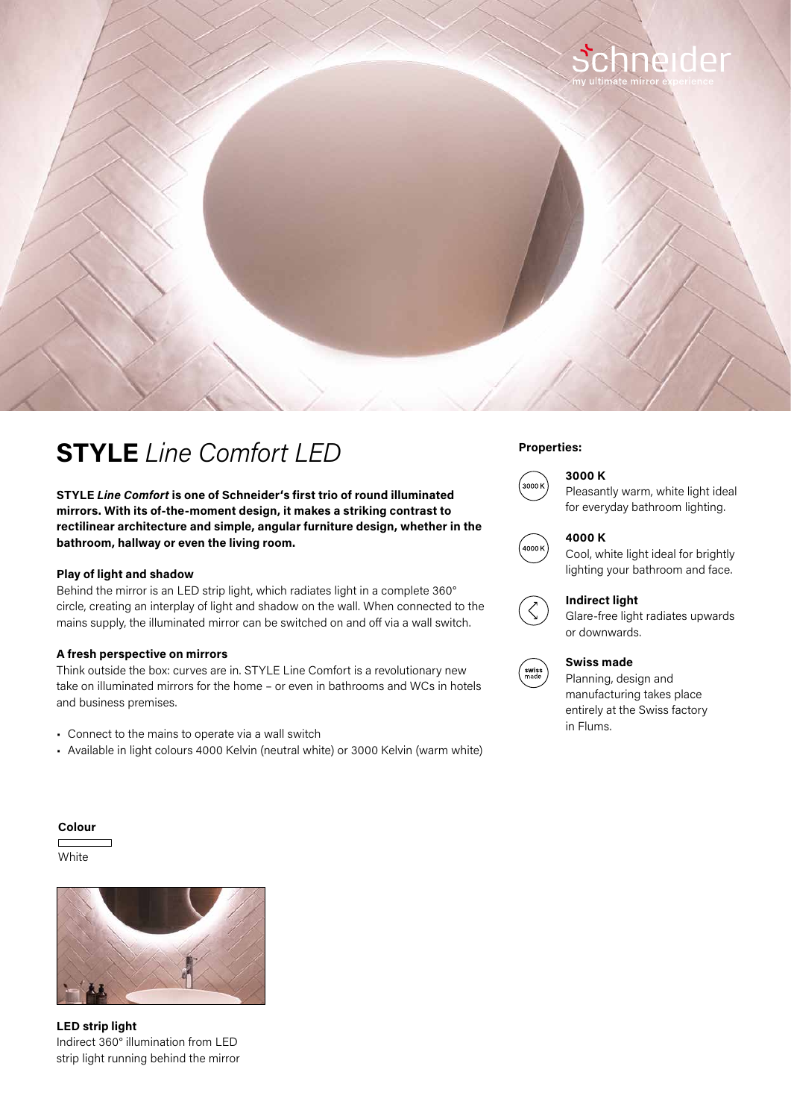

# **Properties: STYLE** *Line Comfort LED*

**STYLE** *Line Comfort* **is one of Schneider's first trio of round illuminated mirrors. With its of-the-moment design, it makes a striking contrast to rectilinear architecture and simple, angular furniture design, whether in the bathroom, hallway or even the living room.**

### **Play of light and shadow**

Behind the mirror is an LED strip light, which radiates light in a complete 360° circle, creating an interplay of light and shadow on the wall. When connected to the mains supply, the illuminated mirror can be switched on and off via a wall switch.

#### **A fresh perspective on mirrors**

Think outside the box: curves are in. STYLE Line Comfort is a revolutionary new take on illuminated mirrors for the home – or even in bathrooms and WCs in hotels and business premises.

- Connect to the mains to operate via a wall switch
- Available in light colours 4000 Kelvin (neutral white) or 3000 Kelvin (warm white)

# **3000 K**



Pleasantly warm, white light ideal for everyday bathroom lighting.



## **4000 K**

Cool, white light ideal for brightly lighting your bathroom and face.



Glare-free light radiates upwards or downwards.



### **Swiss made**

Planning, design and manufacturing takes place entirely at the Swiss factory in Flums.

#### **Colour**

**White** 



**LED strip light**  Indirect 360° illumination from LED strip light running behind the mirror